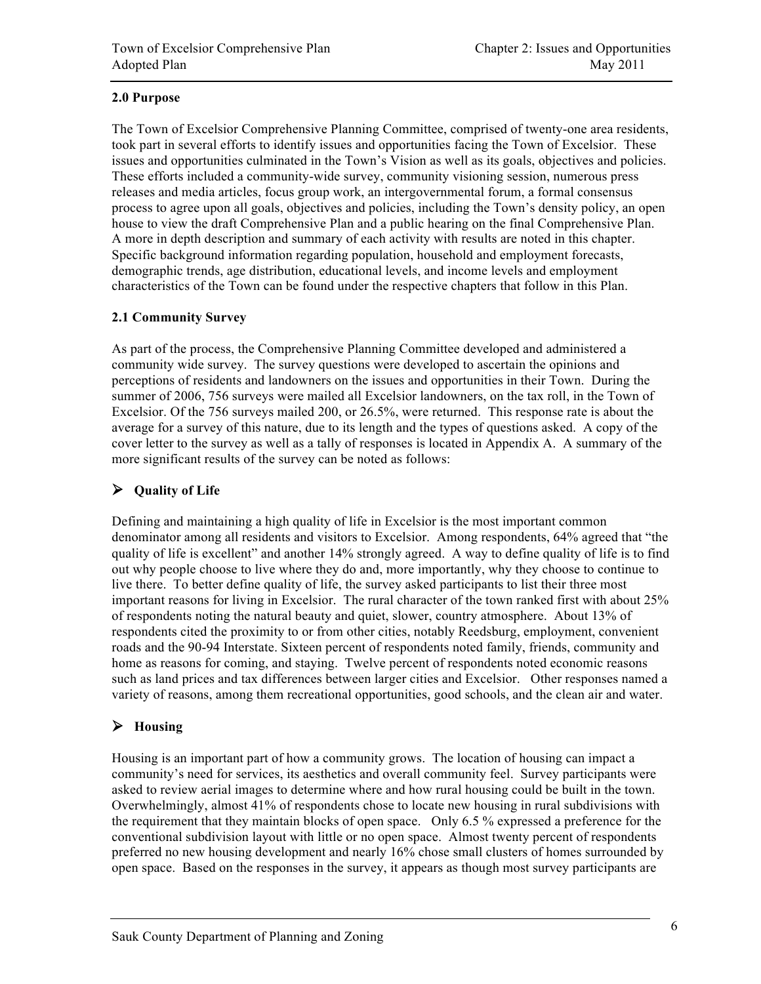### **2.0 Purpose**

The Town of Excelsior Comprehensive Planning Committee, comprised of twenty-one area residents, took part in several efforts to identify issues and opportunities facing the Town of Excelsior. These issues and opportunities culminated in the Town's Vision as well as its goals, objectives and policies. These efforts included a community-wide survey, community visioning session, numerous press releases and media articles, focus group work, an intergovernmental forum, a formal consensus process to agree upon all goals, objectives and policies, including the Town's density policy, an open house to view the draft Comprehensive Plan and a public hearing on the final Comprehensive Plan. A more in depth description and summary of each activity with results are noted in this chapter. Specific background information regarding population, household and employment forecasts, demographic trends, age distribution, educational levels, and income levels and employment characteristics of the Town can be found under the respective chapters that follow in this Plan.

#### **2.1 Community Survey**

As part of the process, the Comprehensive Planning Committee developed and administered a community wide survey. The survey questions were developed to ascertain the opinions and perceptions of residents and landowners on the issues and opportunities in their Town. During the summer of 2006, 756 surveys were mailed all Excelsior landowners, on the tax roll, in the Town of Excelsior. Of the 756 surveys mailed 200, or 26.5%, were returned. This response rate is about the average for a survey of this nature, due to its length and the types of questions asked. A copy of the cover letter to the survey as well as a tally of responses is located in Appendix A. A summary of the more significant results of the survey can be noted as follows:

## **Quality of Life**

Defining and maintaining a high quality of life in Excelsior is the most important common denominator among all residents and visitors to Excelsior. Among respondents, 64% agreed that "the quality of life is excellent" and another 14% strongly agreed. A way to define quality of life is to find out why people choose to live where they do and, more importantly, why they choose to continue to live there. To better define quality of life, the survey asked participants to list their three most important reasons for living in Excelsior. The rural character of the town ranked first with about 25% of respondents noting the natural beauty and quiet, slower, country atmosphere. About 13% of respondents cited the proximity to or from other cities, notably Reedsburg, employment, convenient roads and the 90-94 Interstate. Sixteen percent of respondents noted family, friends, community and home as reasons for coming, and staying. Twelve percent of respondents noted economic reasons such as land prices and tax differences between larger cities and Excelsior. Other responses named a variety of reasons, among them recreational opportunities, good schools, and the clean air and water.

## **Housing**

Housing is an important part of how a community grows. The location of housing can impact a community's need for services, its aesthetics and overall community feel. Survey participants were asked to review aerial images to determine where and how rural housing could be built in the town. Overwhelmingly, almost 41% of respondents chose to locate new housing in rural subdivisions with the requirement that they maintain blocks of open space. Only 6.5 % expressed a preference for the conventional subdivision layout with little or no open space. Almost twenty percent of respondents preferred no new housing development and nearly 16% chose small clusters of homes surrounded by open space. Based on the responses in the survey, it appears as though most survey participants are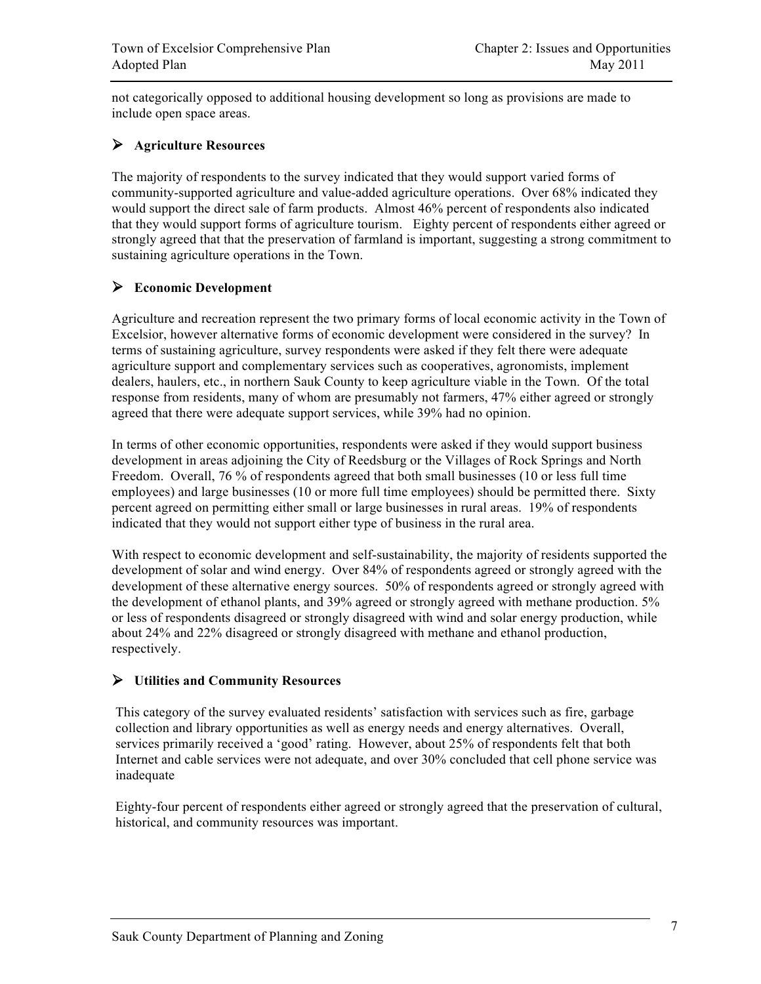not categorically opposed to additional housing development so long as provisions are made to include open space areas.

### **Agriculture Resources**

The majority of respondents to the survey indicated that they would support varied forms of community-supported agriculture and value-added agriculture operations. Over 68% indicated they would support the direct sale of farm products. Almost 46% percent of respondents also indicated that they would support forms of agriculture tourism. Eighty percent of respondents either agreed or strongly agreed that that the preservation of farmland is important, suggesting a strong commitment to sustaining agriculture operations in the Town.

### **Economic Development**

Agriculture and recreation represent the two primary forms of local economic activity in the Town of Excelsior, however alternative forms of economic development were considered in the survey? In terms of sustaining agriculture, survey respondents were asked if they felt there were adequate agriculture support and complementary services such as cooperatives, agronomists, implement dealers, haulers, etc., in northern Sauk County to keep agriculture viable in the Town. Of the total response from residents, many of whom are presumably not farmers, 47% either agreed or strongly agreed that there were adequate support services, while 39% had no opinion.

In terms of other economic opportunities, respondents were asked if they would support business development in areas adjoining the City of Reedsburg or the Villages of Rock Springs and North Freedom. Overall, 76 % of respondents agreed that both small businesses (10 or less full time employees) and large businesses (10 or more full time employees) should be permitted there. Sixty percent agreed on permitting either small or large businesses in rural areas. 19% of respondents indicated that they would not support either type of business in the rural area.

With respect to economic development and self-sustainability, the majority of residents supported the development of solar and wind energy. Over 84% of respondents agreed or strongly agreed with the development of these alternative energy sources. 50% of respondents agreed or strongly agreed with the development of ethanol plants, and 39% agreed or strongly agreed with methane production. 5% or less of respondents disagreed or strongly disagreed with wind and solar energy production, while about 24% and 22% disagreed or strongly disagreed with methane and ethanol production, respectively.

#### **Utilities and Community Resources**

This category of the survey evaluated residents' satisfaction with services such as fire, garbage collection and library opportunities as well as energy needs and energy alternatives. Overall, services primarily received a 'good' rating. However, about 25% of respondents felt that both Internet and cable services were not adequate, and over 30% concluded that cell phone service was inadequate

Eighty-four percent of respondents either agreed or strongly agreed that the preservation of cultural, historical, and community resources was important.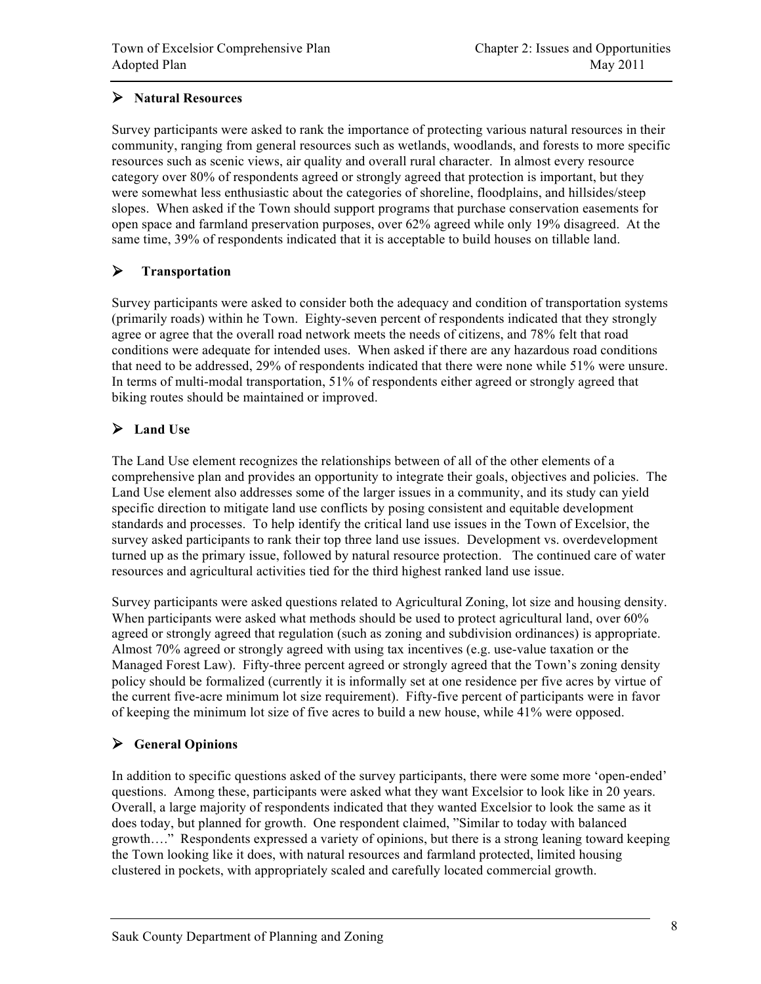## **Natural Resources**

Survey participants were asked to rank the importance of protecting various natural resources in their community, ranging from general resources such as wetlands, woodlands, and forests to more specific resources such as scenic views, air quality and overall rural character. In almost every resource category over 80% of respondents agreed or strongly agreed that protection is important, but they were somewhat less enthusiastic about the categories of shoreline, floodplains, and hillsides/steep slopes. When asked if the Town should support programs that purchase conservation easements for open space and farmland preservation purposes, over 62% agreed while only 19% disagreed. At the same time, 39% of respondents indicated that it is acceptable to build houses on tillable land.

## **Transportation**

Survey participants were asked to consider both the adequacy and condition of transportation systems (primarily roads) within he Town. Eighty-seven percent of respondents indicated that they strongly agree or agree that the overall road network meets the needs of citizens, and 78% felt that road conditions were adequate for intended uses. When asked if there are any hazardous road conditions that need to be addressed, 29% of respondents indicated that there were none while 51% were unsure. In terms of multi-modal transportation, 51% of respondents either agreed or strongly agreed that biking routes should be maintained or improved.

# **Land Use**

The Land Use element recognizes the relationships between of all of the other elements of a comprehensive plan and provides an opportunity to integrate their goals, objectives and policies. The Land Use element also addresses some of the larger issues in a community, and its study can yield specific direction to mitigate land use conflicts by posing consistent and equitable development standards and processes. To help identify the critical land use issues in the Town of Excelsior, the survey asked participants to rank their top three land use issues. Development vs. overdevelopment turned up as the primary issue, followed by natural resource protection. The continued care of water resources and agricultural activities tied for the third highest ranked land use issue.

Survey participants were asked questions related to Agricultural Zoning, lot size and housing density. When participants were asked what methods should be used to protect agricultural land, over 60% agreed or strongly agreed that regulation (such as zoning and subdivision ordinances) is appropriate. Almost 70% agreed or strongly agreed with using tax incentives (e.g. use-value taxation or the Managed Forest Law). Fifty-three percent agreed or strongly agreed that the Town's zoning density policy should be formalized (currently it is informally set at one residence per five acres by virtue of the current five-acre minimum lot size requirement). Fifty-five percent of participants were in favor of keeping the minimum lot size of five acres to build a new house, while 41% were opposed.

## **General Opinions**

In addition to specific questions asked of the survey participants, there were some more 'open-ended' questions. Among these, participants were asked what they want Excelsior to look like in 20 years. Overall, a large majority of respondents indicated that they wanted Excelsior to look the same as it does today, but planned for growth. One respondent claimed, "Similar to today with balanced growth…." Respondents expressed a variety of opinions, but there is a strong leaning toward keeping the Town looking like it does, with natural resources and farmland protected, limited housing clustered in pockets, with appropriately scaled and carefully located commercial growth.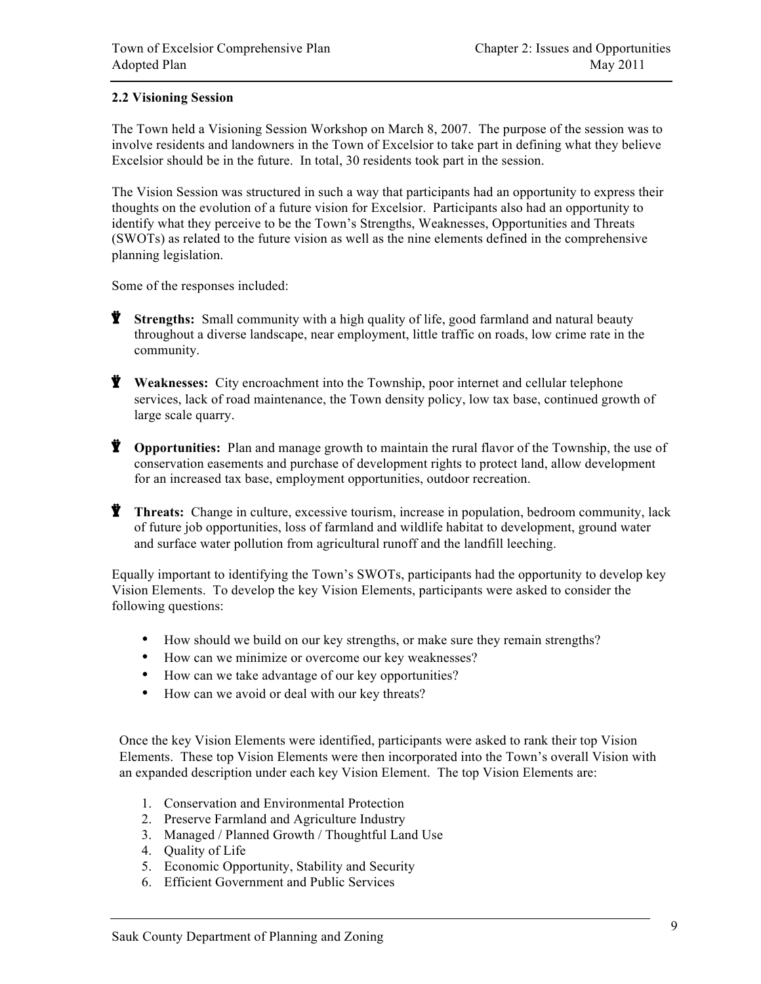### **2.2 Visioning Session**

The Town held a Visioning Session Workshop on March 8, 2007. The purpose of the session was to involve residents and landowners in the Town of Excelsior to take part in defining what they believe Excelsior should be in the future. In total, 30 residents took part in the session.

The Vision Session was structured in such a way that participants had an opportunity to express their thoughts on the evolution of a future vision for Excelsior. Participants also had an opportunity to identify what they perceive to be the Town's Strengths, Weaknesses, Opportunities and Threats (SWOTs) as related to the future vision as well as the nine elements defined in the comprehensive planning legislation.

Some of the responses included:

- **Y** Strengths: Small community with a high quality of life, good farmland and natural beauty throughout a diverse landscape, near employment, little traffic on roads, low crime rate in the community.
- $\ddot{\mathbf{Y}}$  Weaknesses: City encroachment into the Township, poor internet and cellular telephone services, lack of road maintenance, the Town density policy, low tax base, continued growth of large scale quarry.
- **Y Opportunities:** Plan and manage growth to maintain the rural flavor of the Township, the use of conservation easements and purchase of development rights to protect land, allow development for an increased tax base, employment opportunities, outdoor recreation.
- **Threats:** Change in culture, excessive tourism, increase in population, bedroom community, lack of future job opportunities, loss of farmland and wildlife habitat to development, ground water and surface water pollution from agricultural runoff and the landfill leeching.

Equally important to identifying the Town's SWOTs, participants had the opportunity to develop key Vision Elements. To develop the key Vision Elements, participants were asked to consider the following questions:

- How should we build on our key strengths, or make sure they remain strengths?
- How can we minimize or overcome our key weaknesses?
- How can we take advantage of our key opportunities?
- How can we avoid or deal with our key threats?

Once the key Vision Elements were identified, participants were asked to rank their top Vision Elements. These top Vision Elements were then incorporated into the Town's overall Vision with an expanded description under each key Vision Element. The top Vision Elements are:

- 1. Conservation and Environmental Protection
- 2. Preserve Farmland and Agriculture Industry
- 3. Managed / Planned Growth / Thoughtful Land Use
- 4. Quality of Life
- 5. Economic Opportunity, Stability and Security
- 6. Efficient Government and Public Services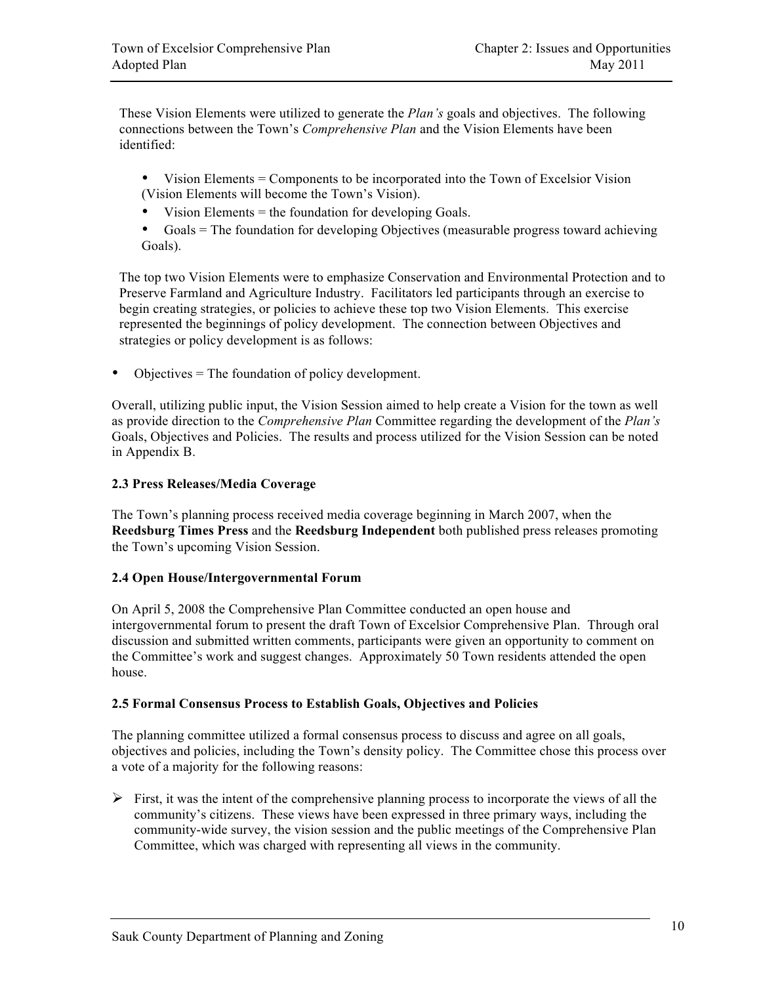These Vision Elements were utilized to generate the *Plan's* goals and objectives. The following connections between the Town's *Comprehensive Plan* and the Vision Elements have been identified:

- Vision Elements = Components to be incorporated into the Town of Excelsior Vision (Vision Elements will become the Town's Vision).
- Vision Elements = the foundation for developing Goals.
- Goals = The foundation for developing Objectives (measurable progress toward achieving Goals).

The top two Vision Elements were to emphasize Conservation and Environmental Protection and to Preserve Farmland and Agriculture Industry. Facilitators led participants through an exercise to begin creating strategies, or policies to achieve these top two Vision Elements. This exercise represented the beginnings of policy development. The connection between Objectives and strategies or policy development is as follows:

• Objectives = The foundation of policy development.

Overall, utilizing public input, the Vision Session aimed to help create a Vision for the town as well as provide direction to the *Comprehensive Plan* Committee regarding the development of the *Plan's*  Goals, Objectives and Policies. The results and process utilized for the Vision Session can be noted in Appendix B.

#### **2.3 Press Releases/Media Coverage**

The Town's planning process received media coverage beginning in March 2007, when the **Reedsburg Times Press** and the **Reedsburg Independent** both published press releases promoting the Town's upcoming Vision Session.

#### **2.4 Open House/Intergovernmental Forum**

On April 5, 2008 the Comprehensive Plan Committee conducted an open house and intergovernmental forum to present the draft Town of Excelsior Comprehensive Plan. Through oral discussion and submitted written comments, participants were given an opportunity to comment on the Committee's work and suggest changes. Approximately 50 Town residents attended the open house.

#### **2.5 Formal Consensus Process to Establish Goals, Objectives and Policies**

The planning committee utilized a formal consensus process to discuss and agree on all goals, objectives and policies, including the Town's density policy. The Committee chose this process over a vote of a majority for the following reasons:

 $\triangleright$  First, it was the intent of the comprehensive planning process to incorporate the views of all the community's citizens. These views have been expressed in three primary ways, including the community-wide survey, the vision session and the public meetings of the Comprehensive Plan Committee, which was charged with representing all views in the community.